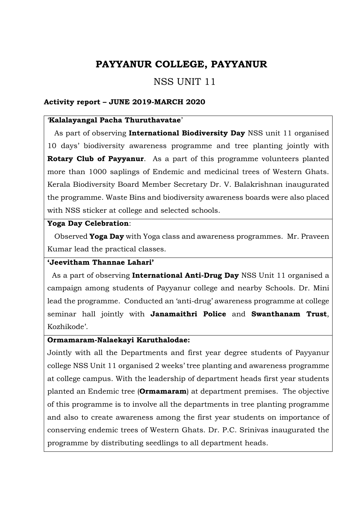# PAYYANUR COLLEGE, PAYYANUR

# NSS UNIT 11

#### Activity report – JUNE 2019-MARCH 2020

#### 'Kalalayangal Pacha Thuruthavatae'

As part of observing International Biodiversity Day NSS unit 11 organised 10 days' biodiversity awareness programme and tree planting jointly with Rotary Club of Payyanur. As a part of this programme volunteers planted more than 1000 saplings of Endemic and medicinal trees of Western Ghats. Kerala Biodiversity Board Member Secretary Dr. V. Balakrishnan inaugurated the programme. Waste Bins and biodiversity awareness boards were also placed with NSS sticker at college and selected schools.

#### Yoga Day Celebration:

Observed Yoga Day with Yoga class and awareness programmes. Mr. Praveen Kumar lead the practical classes.

#### 'Jeevitham Thannae Lahari'

As a part of observing **International Anti-Drug Day** NSS Unit 11 organised a campaign among students of Payyanur college and nearby Schools. Dr. Mini lead the programme. Conducted an 'anti-drug' awareness programme at college seminar hall jointly with Janamaithri Police and Swanthanam Trust, Kozhikode'.

#### Ormamaram-Nalaekayi Karuthalodae:

Jointly with all the Departments and first year degree students of Payyanur college NSS Unit 11 organised 2 weeks' tree planting and awareness programme at college campus. With the leadership of department heads first year students planted an Endemic tree (Ormamaram) at department premises. The objective of this programme is to involve all the departments in tree planting programme and also to create awareness among the first year students on importance of conserving endemic trees of Western Ghats. Dr. P.C. Srinivas inaugurated the programme by distributing seedlings to all department heads.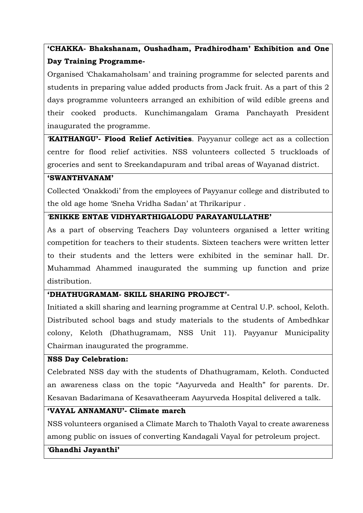# 'CHAKKA- Bhakshanam, Oushadham, Pradhirodham' Exhibition and One Day Training Programme-

Organised 'Chakamaholsam' and training programme for selected parents and students in preparing value added products from Jack fruit. As a part of this 2 days programme volunteers arranged an exhibition of wild edible greens and their cooked products. Kunchimangalam Grama Panchayath President inaugurated the programme.

'KAITHANGU'- Flood Relief Activities. Payyanur college act as a collection centre for flood relief activities. NSS volunteers collected 5 truckloads of groceries and sent to Sreekandapuram and tribal areas of Wayanad district.

#### 'SWANTHVANAM'

Collected 'Onakkodi' from the employees of Payyanur college and distributed to the old age home 'Sneha Vridha Sadan' at Thrikaripur .

#### 'ENIKKE ENTAE VIDHYARTHIGALODU PARAYANULLATHE'

As a part of observing Teachers Day volunteers organised a letter writing competition for teachers to their students. Sixteen teachers were written letter to their students and the letters were exhibited in the seminar hall. Dr. Muhammad Ahammed inaugurated the summing up function and prize distribution.

#### 'DHATHUGRAMAM- SKILL SHARING PROJECT'-

Initiated a skill sharing and learning programme at Central U.P. school, Keloth. Distributed school bags and study materials to the students of Ambedhkar colony, Keloth (Dhathugramam, NSS Unit 11). Payyanur Municipality Chairman inaugurated the programme.

#### NSS Day Celebration:

Celebrated NSS day with the students of Dhathugramam, Keloth. Conducted an awareness class on the topic "Aayurveda and Health" for parents. Dr. Kesavan Badarimana of Kesavatheeram Aayurveda Hospital delivered a talk.

## 'VAYAL ANNAMANU'- Climate march

NSS volunteers organised a Climate March to Thaloth Vayal to create awareness among public on issues of converting Kandagali Vayal for petroleum project.

#### 'Ghandhi Jayanthi'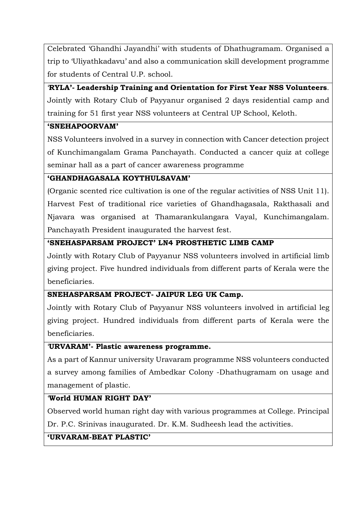Celebrated 'Ghandhi Jayandhi' with students of Dhathugramam. Organised a trip to 'Uliyathkadavu' and also a communication skill development programme for students of Central U.P. school.

'RYLA'- Leadership Training and Orientation for First Year NSS Volunteers. Jointly with Rotary Club of Payyanur organised 2 days residential camp and training for 51 first year NSS volunteers at Central UP School, Keloth.

## 'SNEHAPOORVAM'

NSS Volunteers involved in a survey in connection with Cancer detection project of Kunchimangalam Grama Panchayath. Conducted a cancer quiz at college seminar hall as a part of cancer awareness programme

# 'GHANDHAGASALA KOYTHULSAVAM'

(Organic scented rice cultivation is one of the regular activities of NSS Unit 11). Harvest Fest of traditional rice varieties of Ghandhagasala, Rakthasali and Njavara was organised at Thamarankulangara Vayal, Kunchimangalam. Panchayath President inaugurated the harvest fest.

## 'SNEHASPARSAM PROJECT' LN4 PROSTHETIC LIMB CAMP

Jointly with Rotary Club of Payyanur NSS volunteers involved in artificial limb giving project. Five hundred individuals from different parts of Kerala were the beneficiaries.

# SNEHASPARSAM PROJECT- JAIPUR LEG UK Camp.

Jointly with Rotary Club of Payyanur NSS volunteers involved in artificial leg giving project. Hundred individuals from different parts of Kerala were the beneficiaries.

#### 'URVARAM'- Plastic awareness programme.

As a part of Kannur university Uravaram programme NSS volunteers conducted a survey among families of Ambedkar Colony -Dhathugramam on usage and management of plastic.

# 'World HUMAN RIGHT DAY'

Observed world human right day with various programmes at College. Principal Dr. P.C. Srinivas inaugurated. Dr. K.M. Sudheesh lead the activities.

#### 'URVARAM-BEAT PLASTIC'